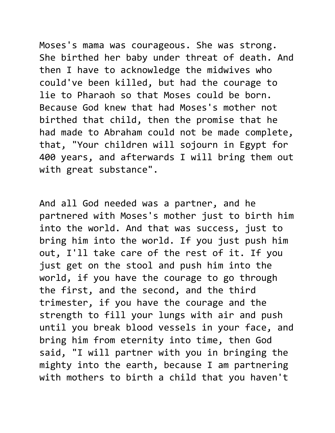Moses's mama was courageous. She was strong. She birthed her baby under threat of death. And then I have to acknowledge the midwives who could've been killed, but had the courage to lie to Pharaoh so that Moses could be born. Because God knew that had Moses's mother not birthed that child, then the promise that he had made to Abraham could not be made complete, that, "Your children will sojourn in Egypt for 400 years, and afterwards I will bring them out with great substance".

And all God needed was a partner, and he partnered with Moses's mother just to birth him into the world. And that was success, just to bring him into the world. If you just push him out, I'll take care of the rest of it. If you just get on the stool and push him into the world, if you have the courage to go through the first, and the second, and the third trimester, if you have the courage and the strength to fill your lungs with air and push until you break blood vessels in your face, and bring him from eternity into time, then God said, "I will partner with you in bringing the mighty into the earth, because I am partnering with mothers to birth a child that you haven't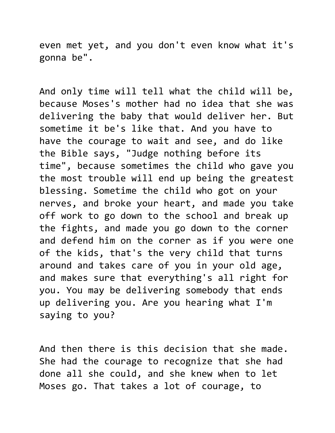even met yet, and you don't even know what it's gonna be".

And only time will tell what the child will be, because Moses's mother had no idea that she was delivering the baby that would deliver her. But sometime it be's like that. And you have to have the courage to wait and see, and do like the Bible says, "Judge nothing before its time", because sometimes the child who gave you the most trouble will end up being the greatest blessing. Sometime the child who got on your nerves, and broke your heart, and made you take off work to go down to the school and break up the fights, and made you go down to the corner and defend him on the corner as if you were one of the kids, that's the very child that turns around and takes care of you in your old age, and makes sure that everything's all right for you. You may be delivering somebody that ends up delivering you. Are you hearing what I'm saying to you?

And then there is this decision that she made. She had the courage to recognize that she had done all she could, and she knew when to let Moses go. That takes a lot of courage, to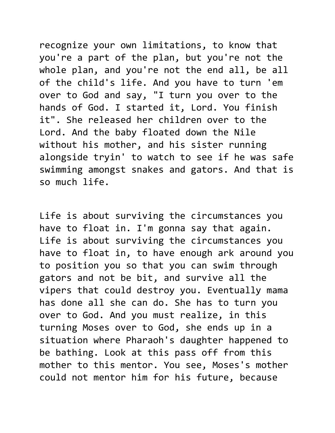recognize your own limitations, to know that you're a part of the plan, but you're not the whole plan, and you're not the end all, be all of the child's life. And you have to turn 'em over to God and say, "I turn you over to the hands of God. I started it, Lord. You finish it". She released her children over to the Lord. And the baby floated down the Nile without his mother, and his sister running alongside tryin' to watch to see if he was safe swimming amongst snakes and gators. And that is so much life.

Life is about surviving the circumstances you have to float in. I'm gonna say that again. Life is about surviving the circumstances you have to float in, to have enough ark around you to position you so that you can swim through gators and not be bit, and survive all the vipers that could destroy you. Eventually mama has done all she can do. She has to turn you over to God. And you must realize, in this turning Moses over to God, she ends up in a situation where Pharaoh's daughter happened to be bathing. Look at this pass off from this mother to this mentor. You see, Moses's mother could not mentor him for his future, because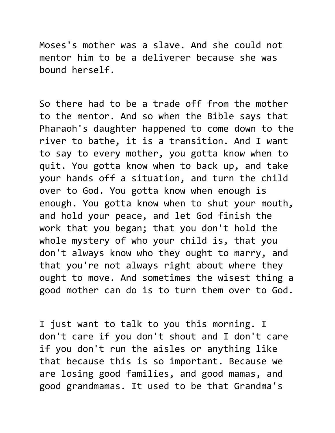Moses's mother was a slave. And she could not mentor him to be a deliverer because she was bound herself.

So there had to be a trade off from the mother to the mentor. And so when the Bible says that Pharaoh's daughter happened to come down to the river to bathe, it is a transition. And I want to say to every mother, you gotta know when to quit. You gotta know when to back up, and take your hands off a situation, and turn the child over to God. You gotta know when enough is enough. You gotta know when to shut your mouth, and hold your peace, and let God finish the work that you began; that you don't hold the whole mystery of who your child is, that you don't always know who they ought to marry, and that you're not always right about where they ought to move. And sometimes the wisest thing a good mother can do is to turn them over to God.

I just want to talk to you this morning. I don't care if you don't shout and I don't care if you don't run the aisles or anything like that because this is so important. Because we are losing good families, and good mamas, and good grandmamas. It used to be that Grandma's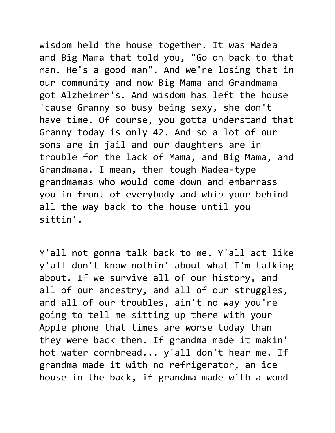wisdom held the house together. It was Madea and Big Mama that told you, "Go on back to that man. He's a good man". And we're losing that in our community and now Big Mama and Grandmama got Alzheimer's. And wisdom has left the house 'cause Granny so busy being sexy, she don't have time. Of course, you gotta understand that Granny today is only 42. And so a lot of our sons are in jail and our daughters are in trouble for the lack of Mama, and Big Mama, and Grandmama. I mean, them tough Madea-type grandmamas who would come down and embarrass you in front of everybody and whip your behind all the way back to the house until you sittin'.

Y'all not gonna talk back to me. Y'all act like y'all don't know nothin' about what I'm talking about. If we survive all of our history, and all of our ancestry, and all of our struggles, and all of our troubles, ain't no way you're going to tell me sitting up there with your Apple phone that times are worse today than they were back then. If grandma made it makin' hot water cornbread... y'all don't hear me. If grandma made it with no refrigerator, an ice house in the back, if grandma made with a wood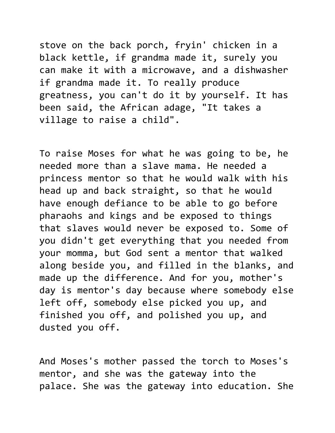stove on the back porch, fryin' chicken in a black kettle, if grandma made it, surely you can make it with a microwave, and a dishwasher if grandma made it. To really produce greatness, you can't do it by yourself. It has been said, the African adage, "It takes a village to raise a child".

To raise Moses for what he was going to be, he needed more than a slave mama. He needed a princess mentor so that he would walk with his head up and back straight, so that he would have enough defiance to be able to go before pharaohs and kings and be exposed to things that slaves would never be exposed to. Some of you didn't get everything that you needed from your momma, but God sent a mentor that walked along beside you, and filled in the blanks, and made up the difference. And for you, mother's day is mentor's day because where somebody else left off, somebody else picked you up, and finished you off, and polished you up, and dusted you off.

And Moses's mother passed the torch to Moses's mentor, and she was the gateway into the palace. She was the gateway into education. She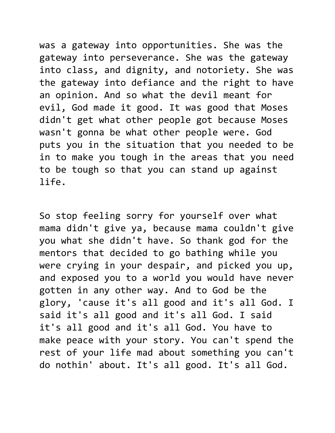was a gateway into opportunities. She was the gateway into perseverance. She was the gateway into class, and dignity, and notoriety. She was the gateway into defiance and the right to have an opinion. And so what the devil meant for evil, God made it good. It was good that Moses didn't get what other people got because Moses wasn't gonna be what other people were. God puts you in the situation that you needed to be in to make you tough in the areas that you need to be tough so that you can stand up against life.

So stop feeling sorry for yourself over what mama didn't give ya, because mama couldn't give you what she didn't have. So thank god for the mentors that decided to go bathing while you were crying in your despair, and picked you up, and exposed you to a world you would have never gotten in any other way. And to God be the glory, 'cause it's all good and it's all God. I said it's all good and it's all God. I said it's all good and it's all God. You have to make peace with your story. You can't spend the rest of your life mad about something you can't do nothin' about. It's all good. It's all God.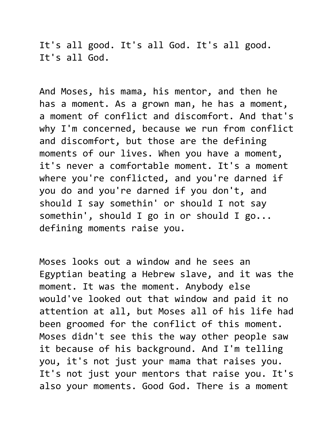It's all good. It's all God. It's all good. It's all God.

And Moses, his mama, his mentor, and then he has a moment. As a grown man, he has a moment, a moment of conflict and discomfort. And that's why I'm concerned, because we run from conflict and discomfort, but those are the defining moments of our lives. When you have a moment, it's never a comfortable moment. It's a moment where you're conflicted, and you're darned if you do and you're darned if you don't, and should I say somethin' or should I not say somethin', should I go in or should I go... defining moments raise you.

Moses looks out a window and he sees an Egyptian beating a Hebrew slave, and it was the moment. It was the moment. Anybody else would've looked out that window and paid it no attention at all, but Moses all of his life had been groomed for the conflict of this moment. Moses didn't see this the way other people saw it because of his background. And I'm telling you, it's not just your mama that raises you. It's not just your mentors that raise you. It's also your moments. Good God. There is a moment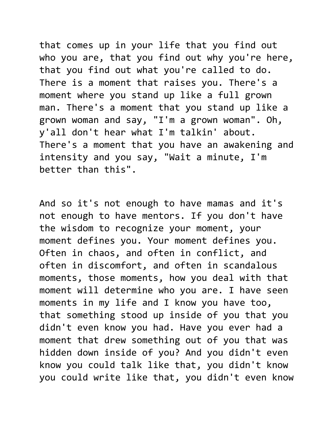that comes up in your life that you find out who you are, that you find out why you're here, that you find out what you're called to do. There is a moment that raises you. There's a moment where you stand up like a full grown man. There's a moment that you stand up like a grown woman and say, "I'm a grown woman". Oh, y'all don't hear what I'm talkin' about. There's a moment that you have an awakening and intensity and you say, "Wait a minute, I'm better than this".

And so it's not enough to have mamas and it's not enough to have mentors. If you don't have the wisdom to recognize your moment, your moment defines you. Your moment defines you. Often in chaos, and often in conflict, and often in discomfort, and often in scandalous moments, those moments, how you deal with that moment will determine who you are. I have seen moments in my life and I know you have too, that something stood up inside of you that you didn't even know you had. Have you ever had a moment that drew something out of you that was hidden down inside of you? And you didn't even know you could talk like that, you didn't know you could write like that, you didn't even know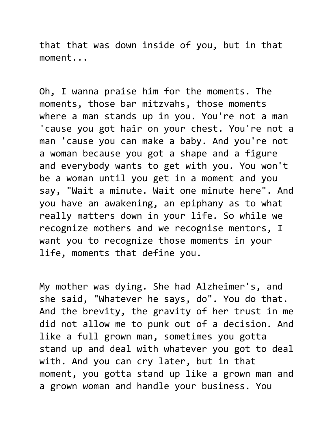that that was down inside of you, but in that moment...

Oh, I wanna praise him for the moments. The moments, those bar mitzvahs, those moments where a man stands up in you. You're not a man 'cause you got hair on your chest. You're not a man 'cause you can make a baby. And you're not a woman because you got a shape and a figure and everybody wants to get with you. You won't be a woman until you get in a moment and you say, "Wait a minute. Wait one minute here". And you have an awakening, an epiphany as to what really matters down in your life. So while we recognize mothers and we recognise mentors, I want you to recognize those moments in your life, moments that define you.

My mother was dying. She had Alzheimer's, and she said, "Whatever he says, do". You do that. And the brevity, the gravity of her trust in me did not allow me to punk out of a decision. And like a full grown man, sometimes you gotta stand up and deal with whatever you got to deal with. And you can cry later, but in that moment, you gotta stand up like a grown man and a grown woman and handle your business. You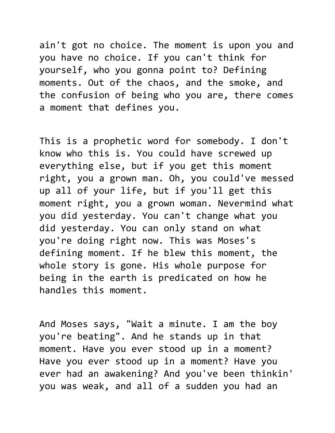ain't got no choice. The moment is upon you and you have no choice. If you can't think for yourself, who you gonna point to? Defining moments. Out of the chaos, and the smoke, and the confusion of being who you are, there comes a moment that defines you.

This is a prophetic word for somebody. I don't know who this is. You could have screwed up everything else, but if you get this moment right, you a grown man. Oh, you could've messed up all of your life, but if you'll get this moment right, you a grown woman. Nevermind what you did yesterday. You can't change what you did yesterday. You can only stand on what you're doing right now. This was Moses's defining moment. If he blew this moment, the whole story is gone. His whole purpose for being in the earth is predicated on how he handles this moment.

And Moses says, "Wait a minute. I am the boy you're beating". And he stands up in that moment. Have you ever stood up in a moment? Have you ever stood up in a moment? Have you ever had an awakening? And you've been thinkin' you was weak, and all of a sudden you had an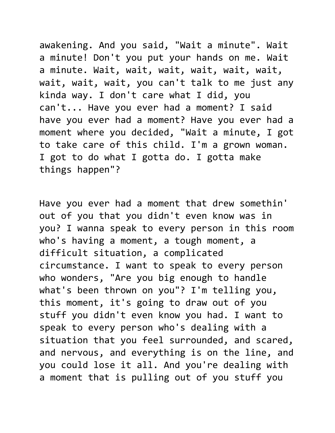awakening. And you said, "Wait a minute". Wait a minute! Don't you put your hands on me. Wait a minute. Wait, wait, wait, wait, wait, wait, wait, wait, wait, you can't talk to me just any kinda way. I don't care what I did, you can't... Have you ever had a moment? I said have you ever had a moment? Have you ever had a moment where you decided, "Wait a minute, I got to take care of this child. I'm a grown woman. I got to do what I gotta do. I gotta make things happen"?

Have you ever had a moment that drew somethin' out of you that you didn't even know was in you? I wanna speak to every person in this room who's having a moment, a tough moment, a difficult situation, a complicated circumstance. I want to speak to every person who wonders, "Are you big enough to handle what's been thrown on you"? I'm telling you, this moment, it's going to draw out of you stuff you didn't even know you had. I want to speak to every person who's dealing with a situation that you feel surrounded, and scared, and nervous, and everything is on the line, and you could lose it all. And you're dealing with a moment that is pulling out of you stuff you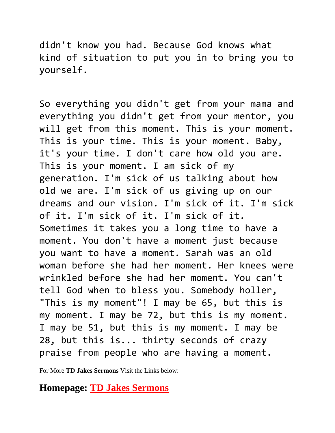didn't know you had. Because God knows what kind of situation to put you in to bring you to yourself.

So everything you didn't get from your mama and everything you didn't get from your mentor, you will get from this moment. This is your moment. This is your time. This is your moment. Baby, it's your time. I don't care how old you are. This is your moment. I am sick of my generation. I'm sick of us talking about how old we are. I'm sick of us giving up on our dreams and our vision. I'm sick of it. I'm sick of it. I'm sick of it. I'm sick of it. Sometimes it takes you a long time to have a moment. You don't have a moment just because you want to have a moment. Sarah was an old woman before she had her moment. Her knees were wrinkled before she had her moment. You can't tell God when to bless you. Somebody holler, "This is my moment"! I may be 65, but this is my moment. I may be 72, but this is my moment. I may be 51, but this is my moment. I may be 28, but this is... thirty seconds of crazy praise from people who are having a moment.

For More **TD Jakes Sermons** Visit the Links below:

## **Homepage: [TD Jakes Sermons](https://tdjakessermons.com/)**